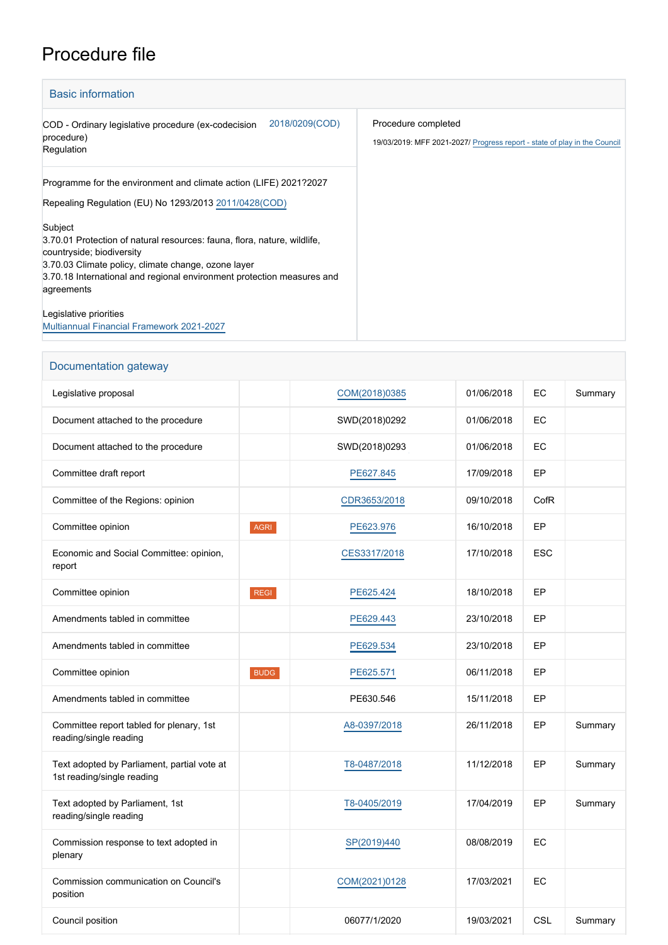## Procedure file

| <b>Basic information</b>                                                                                                                                                                                                                                        |                                                                                                  |
|-----------------------------------------------------------------------------------------------------------------------------------------------------------------------------------------------------------------------------------------------------------------|--------------------------------------------------------------------------------------------------|
| 2018/0209(COD)<br>COD - Ordinary legislative procedure (ex-codecision<br>procedure)<br>Regulation                                                                                                                                                               | Procedure completed<br>19/03/2019: MFF 2021-2027/ Progress report - state of play in the Council |
| Programme for the environment and climate action (LIFE) 2021?2027<br>Repealing Regulation (EU) No 1293/2013 2011/0428 (COD)                                                                                                                                     |                                                                                                  |
| Subject<br>3.70.01 Protection of natural resources: fauna, flora, nature, wildlife,<br>countryside; biodiversity<br>3.70.03 Climate policy, climate change, ozone layer<br>3.70.18 International and regional environment protection measures and<br>agreements |                                                                                                  |
| Legislative priorities<br><b>Multiannual Financial Framework 2021-2027</b>                                                                                                                                                                                      |                                                                                                  |

| Documentation gateway                                                     |             |               |            |            |         |
|---------------------------------------------------------------------------|-------------|---------------|------------|------------|---------|
| Legislative proposal                                                      |             | COM(2018)0385 | 01/06/2018 | EC         | Summary |
| Document attached to the procedure                                        |             | SWD(2018)0292 | 01/06/2018 | EC         |         |
| Document attached to the procedure                                        |             | SWD(2018)0293 | 01/06/2018 | EC         |         |
| Committee draft report                                                    |             | PE627.845     | 17/09/2018 | EP         |         |
| Committee of the Regions: opinion                                         |             | CDR3653/2018  | 09/10/2018 | CofR       |         |
| Committee opinion                                                         | AGRI        | PE623.976     | 16/10/2018 | EP         |         |
| Economic and Social Committee: opinion,<br>report                         |             | CES3317/2018  | 17/10/2018 | <b>ESC</b> |         |
| Committee opinion                                                         | <b>REGI</b> | PE625.424     | 18/10/2018 | EP         |         |
| Amendments tabled in committee                                            |             | PE629.443     | 23/10/2018 | EP         |         |
| Amendments tabled in committee                                            |             | PE629.534     | 23/10/2018 | EP         |         |
| Committee opinion                                                         | <b>BUDG</b> | PE625.571     | 06/11/2018 | EP         |         |
| Amendments tabled in committee                                            |             | PE630.546     | 15/11/2018 | EP         |         |
| Committee report tabled for plenary, 1st<br>reading/single reading        |             | A8-0397/2018  | 26/11/2018 | EP         | Summary |
| Text adopted by Parliament, partial vote at<br>1st reading/single reading |             | T8-0487/2018  | 11/12/2018 | EP         | Summary |
| Text adopted by Parliament, 1st<br>reading/single reading                 |             | T8-0405/2019  | 17/04/2019 | EP         | Summary |
| Commission response to text adopted in<br>plenary                         |             | SP(2019)440   | 08/08/2019 | EC         |         |
| Commission communication on Council's<br>position                         |             | COM(2021)0128 | 17/03/2021 | EC         |         |
| Council position                                                          |             | 06077/1/2020  | 19/03/2021 | <b>CSL</b> | Summary |